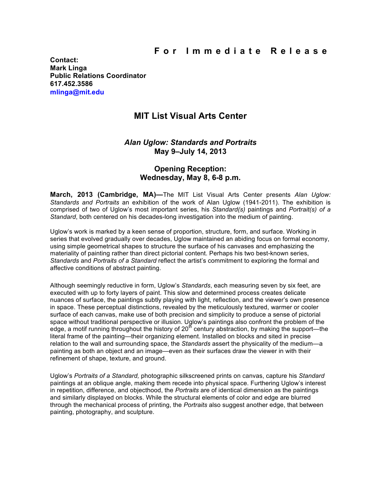**Contact: Mark Linga Public Relations Coordinator 617.452.3586 mlinga@mit.edu**

# **MIT List Visual Arts Center**

## *Alan Uglow: Standards and Portraits* **May 9–July 14, 2013**

## **Opening Reception: Wednesday, May 8, 6-8 p.m.**

**March, 2013 (Cambridge, MA)—**The MIT List Visual Arts Center presents *Alan Uglow: Standards and Portraits* an exhibition of the work of Alan Uglow (1941-2011). The exhibition is comprised of two of Uglow's most important series, his *Standard(s)* paintings and *Portrait(s) of a Standard*, both centered on his decades-long investigation into the medium of painting.

Uglow's work is marked by a keen sense of proportion, structure, form, and surface. Working in series that evolved gradually over decades, Uglow maintained an abiding focus on formal economy, using simple geometrical shapes to structure the surface of his canvases and emphasizing the materiality of painting rather than direct pictorial content. Perhaps his two best-known series, *Standards* and *Portraits of a Standard* reflect the artist's commitment to exploring the formal and affective conditions of abstract painting.

Although seemingly reductive in form, Uglow's *Standards*, each measuring seven by six feet, are executed with up to forty layers of paint. This slow and determined process creates delicate nuances of surface, the paintings subtly playing with light, reflection, and the viewer's own presence in space. These perceptual distinctions, revealed by the meticulously textured, warmer or cooler surface of each canvas, make use of both precision and simplicity to produce a sense of pictorial space without traditional perspective or illusion. Uglow's paintings also confront the problem of the edge, a motif running throughout the history of 20<sup>th</sup> century abstraction, by making the support—the literal frame of the painting—their organizing element. Installed on blocks and sited in precise relation to the wall and surrounding space, the *Standards* assert the physicality of the medium—a painting as both an object and an image—even as their surfaces draw the viewer in with their refinement of shape, texture, and ground.

Uglow's *Portraits of a Standard,* photographic silkscreened prints on canvas, capture his *Standard* paintings at an oblique angle, making them recede into physical space. Furthering Uglow's interest in repetition, difference, and objecthood, the *Portraits* are of identical dimension as the paintings and similarly displayed on blocks. While the structural elements of color and edge are blurred through the mechanical process of printing, the *Portraits* also suggest another edge, that between painting, photography, and sculpture.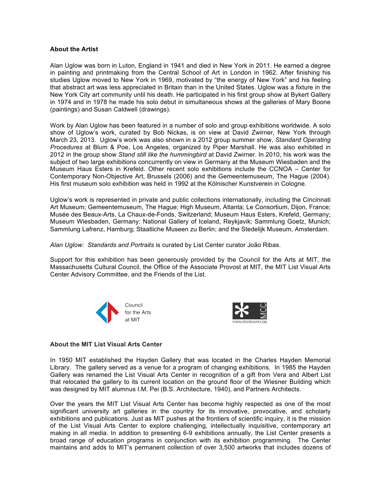### **About the Artist**

Alan Uglow was born in Luton, England in 1941 and died in New York in 2011. He earned a degree in painting and printmaking from the Central School of Art in London in 1962. After finishing his studies Uglow moved to New York in 1969, motivated by "the energy of New York" and his feeling that abstract art was less appreciated in Britain than in the United States. Uglow was a fixture in the New York City art community until his death. He participated in his first group show at Bykert Gallery in 1974 and in 1978 he made his solo debut in simultaneous shows at the galleries of Mary Boone (paintings) and Susan Caldwell (drawings).

Work by Alan Uglow has been featured in a number of solo and group exhibitions worldwide. A solo show of Uglow's work, curated by Bob Nickas, is on view at David Zwirner, New York through March 23, 2013. Uglow's work was also shown in a 2012 group summer show, *Standard Operating Procedures* at Blum & Poe, Los Angeles, organized by Piper Marshall. He was also exhibited in 2012 in the group show *Stand still like the hummingbird* at David Zwirner. In 2010, his work was the subject of two large exhibitions concurrently on view in Germany at the Museum Wiesbaden and the Museum Haus Esters in Krefeld. Other recent solo exhibitions include the CCNOA – Center for Contemporary Non-Objective Art, Brussels (2006) and the Gemeentemuseum, The Hague (2004). His first museum solo exhibition was held in 1992 at the Kölnischer Kunstverein in Cologne.

Uglow's work is represented in private and public collections internationally, including the Cincinnati Art Museum; Gemeentemuseum, The Hague; High Museum, Atlanta; Le Consortium, Dijon, France; Musée des Beaux-Arts, La Chaux-de-Fonds, Switzerland; Museum Haus Esters, Krefeld, Germany; Museum Wiesbaden, Germany; National Gallery of Iceland, Reykjavik; Sammlung Goetz, Munich; Sammlung Lafrenz, Hamburg; Staatliche Museen zu Berlin; and the Stedelijk Museum, Amsterdam.

*Alan Uglow: Standards and Portraits* is curated by List Center curator João Ribas.

Support for this exhibition has been generously provided by the Council for the Arts at MIT, the Massachusetts Cultural Council, the Office of the Associate Provost at MIT, the MIT List Visual Arts Center Advisory Committee, and the Friends of the List.





#### **About the MIT List Visual Arts Center**

In 1950 MIT established the Hayden Gallery that was located in the Charles Hayden Memorial Library. The gallery served as a venue for a program of changing exhibitions. In 1985 the Hayden Gallery was renamed the List Visual Arts Center in recognition of a gift from Vera and Albert List that relocated the gallery to its current location on the ground floor of the Wiesner Building which was designed by MIT alumnus I.M. Pei (B.S. Architecture, 1940), and Partners Architects.

Over the years the MIT List Visual Arts Center has become highly respected as one of the most significant university art galleries in the country for its innovative, provocative, and scholarly exhibitions and publications. Just as MIT pushes at the frontiers of scientific inquiry, it is the mission of the List Visual Arts Center to explore challenging, intellectually inquisitive, contemporary art making in all media. In addition to presenting 6-9 exhibitions annually, the List Center presents a broad range of education programs in conjunction with its exhibition programming. The Center maintains and adds to MIT's permanent collection of over 3,500 artworks that includes dozens of